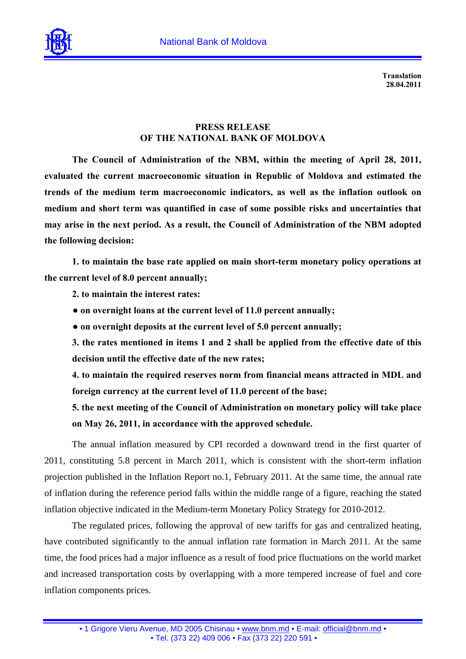

**Translation 28.04.2011** 

## **PRESS RELEASE OF THE NATIONAL BANK OF MOLDOVA**

**The Council of Administration of the NBM, within the meeting of April 28, 2011, evaluated the current macroeconomic situation in Republic of Moldova and estimated the trends of the medium term macroeconomic indicators, as well as the inflation outlook on medium and short term was quantified in case of some possible risks and uncertainties that may arise in the next period. As a result, the Council of Administration of the NBM adopted the following decision:** 

**1. to maintain the base rate applied on main short-term monetary policy operations at the current level of 8.0 percent annually;** 

**2. to maintain the interest rates:** 

- **● on overnight loans at the current level of 11.0 percent annually;**
- **● on overnight deposits at the current level of 5.0 percent annually;**

**3. the rates mentioned in items 1 and 2 shall be applied from the effective date of this decision until the effective date of the new rates;** 

**4. to maintain the required reserves norm from financial means attracted in MDL and foreign currency at the current level of 11.0 percent of the base;** 

**5. the next meeting of the Council of Administration on monetary policy will take place on May 26, 2011, in accordance with the approved schedule.** 

The annual inflation measured by CPI recorded a downward trend in the first quarter of 2011, constituting 5.8 percent in March 2011, which is consistent with the short-term inflation projection published in the Inflation Report no.1, February 2011. At the same time, the annual rate of inflation during the reference period falls within the middle range of a figure, reaching the stated inflation objective indicated in the Medium-term Monetary Policy Strategy for 2010-2012.

The regulated prices, following the approval of new tariffs for gas and centralized heating, have contributed significantly to the annual inflation rate formation in March 2011. At the same time, the food prices had a major influence as a result of food price fluctuations on the world market and increased transportation costs by overlapping with a more tempered increase of fuel and core inflation components prices.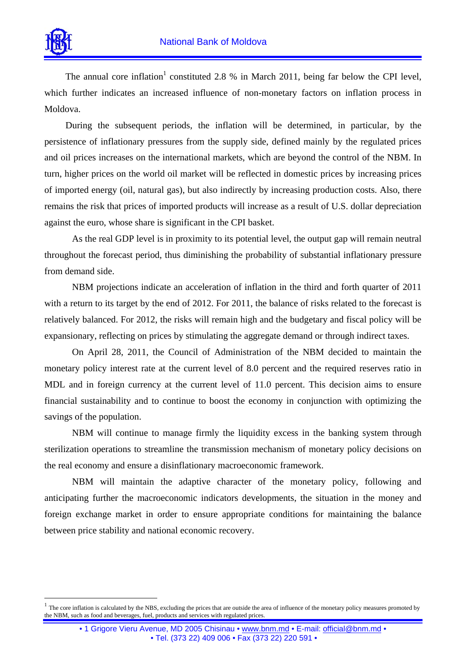

 $\overline{a}$ 

The annual core inflation<sup>1</sup> constituted 2.8 % in March 2011, being far below the CPI level, which further indicates an increased influence of non-monetary factors on inflation process in Moldova.

During the subsequent periods, the inflation will be determined, in particular, by the persistence of inflationary pressures from the supply side, defined mainly by the regulated prices and oil prices increases on the international markets, which are beyond the control of the NBM. In turn, higher prices on the world oil market will be reflected in domestic prices by increasing prices of imported energy (oil, natural gas), but also indirectly by increasing production costs. Also, there remains the risk that prices of imported products will increase as a result of U.S. dollar depreciation against the euro, whose share is significant in the CPI basket.

As the real GDP level is in proximity to its potential level, the output gap will remain neutral throughout the forecast period, thus diminishing the probability of substantial inflationary pressure from demand side.

NBM projections indicate an acceleration of inflation in the third and forth quarter of 2011 with a return to its target by the end of 2012. For 2011, the balance of risks related to the forecast is relatively balanced. For 2012, the risks will remain high and the budgetary and fiscal policy will be expansionary, reflecting on prices by stimulating the aggregate demand or through indirect taxes.

On April 28, 2011, the Council of Administration of the NBM decided to maintain the monetary policy interest rate at the current level of 8.0 percent and the required reserves ratio in MDL and in foreign currency at the current level of 11.0 percent. This decision aims to ensure financial sustainability and to continue to boost the economy in conjunction with optimizing the savings of the population.

NBM will continue to manage firmly the liquidity excess in the banking system through sterilization operations to streamline the transmission mechanism of monetary policy decisions on the real economy and ensure a disinflationary macroeconomic framework.

NBM will maintain the adaptive character of the monetary policy, following and anticipating further the macroeconomic indicators developments, the situation in the money and foreign exchange market in order to ensure appropriate conditions for maintaining the balance between price stability and national economic recovery.

<sup>1</sup> The core inflation is calculated by the NBS, excluding the prices that are outside the area of influence of the monetary policy measures promoted by the NBM, such as food and beverages, fuel, products and services with regulated prices.